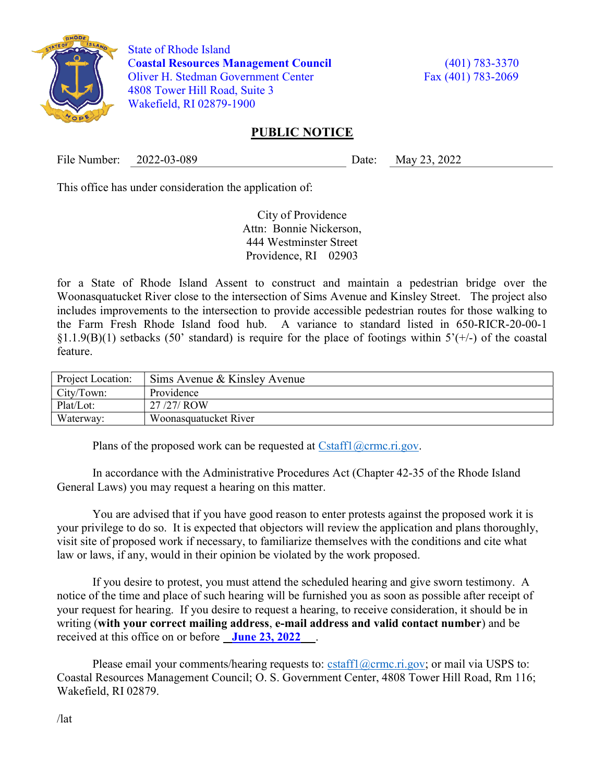

 State of Rhode Island Coastal Resources Management Council (401) 783-3370 Oliver H. Stedman Government Center Fax (401) 783-2069 4808 Tower Hill Road, Suite 3 Wakefield, RI 02879-1900

## PUBLIC NOTICE

File Number: 2022-03-089 Date: May 23, 2022

This office has under consideration the application of:

City of Providence Attn: Bonnie Nickerson, 444 Westminster Street Providence, RI 02903

for a State of Rhode Island Assent to construct and maintain a pedestrian bridge over the Woonasquatucket River close to the intersection of Sims Avenue and Kinsley Street. The project also includes improvements to the intersection to provide accessible pedestrian routes for those walking to the Farm Fresh Rhode Island food hub. A variance to standard listed in 650-RICR-20-00-1  $\S1.1.9(B)(1)$  setbacks (50' standard) is require for the place of footings within  $5'(+)$  of the coastal feature.

| <b>Project Location:</b> | Sims Avenue & Kinsley Avenue |
|--------------------------|------------------------------|
| City/Town:               | Providence                   |
| Plat/Lot:                | 27/27/ROW                    |
| Waterway:                | Woonasquatucket River        |

Plans of the proposed work can be requested at  $Cstat1(\omega \text{crmc.ri.gov.})$ 

In accordance with the Administrative Procedures Act (Chapter 42-35 of the Rhode Island General Laws) you may request a hearing on this matter.

You are advised that if you have good reason to enter protests against the proposed work it is your privilege to do so. It is expected that objectors will review the application and plans thoroughly, visit site of proposed work if necessary, to familiarize themselves with the conditions and cite what law or laws, if any, would in their opinion be violated by the work proposed.

If you desire to protest, you must attend the scheduled hearing and give sworn testimony. A notice of the time and place of such hearing will be furnished you as soon as possible after receipt of your request for hearing. If you desire to request a hearing, to receive consideration, it should be in writing (with your correct mailing address, e-mail address and valid contact number) and be received at this office on or before June 23, 2022

Please email your comments/hearing requests to: cstaff1@crmc.ri.gov; or mail via USPS to: Coastal Resources Management Council; O. S. Government Center, 4808 Tower Hill Road, Rm 116; Wakefield, RI 02879.